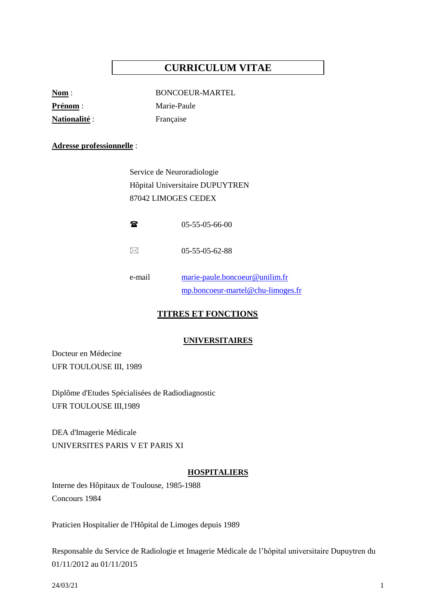# **CURRICULUM VITAE**

| $\mathbf{Nom}$ :    |  |
|---------------------|--|
| <b>Prénom</b> :     |  |
| <b>Nationalité:</b> |  |

**Nom** : BONCOEUR-MARTEL **Marie-Paule Française** 

#### **Adresse professionnelle** :

Service de Neuroradiologie Hôpital Universitaire DUPUYTREN 87042 LIMOGES CEDEX

| $05-55-05-66-00$ |
|------------------|
|                  |

- $\boxtimes$  05-55-05-62-88
- e-mail [marie-paule.boncoeur@unilim.fr](mailto:marie-paule.boncoeur@unilim.fr) [mp.boncoeur-martel@chu-limoges.fr](mailto:mp.boncoeur-martel@chu-limoges.fr)

## **TITRES ET FONCTIONS**

#### **UNIVERSITAIRES**

Docteur en Médecine UFR TOULOUSE III, 1989

Diplôme d'Etudes Spécialisées de Radiodiagnostic UFR TOULOUSE III,1989

DEA d'Imagerie Médicale UNIVERSITES PARIS V ET PARIS XI

#### **HOSPITALIERS**

Interne des Hôpitaux de Toulouse, 1985-1988 Concours 1984

Praticien Hospitalier de l'Hôpital de Limoges depuis 1989

Responsable du Service de Radiologie et Imagerie Médicale de l'hôpital universitaire Dupuytren du 01/11/2012 au 01/11/2015

24/03/21 1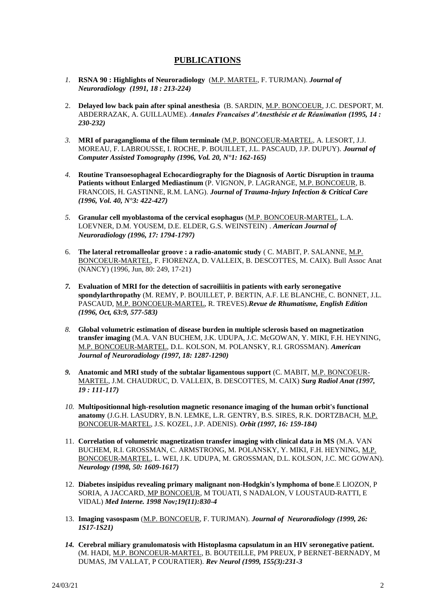### **PUBLICATIONS**

- *1.* **RSNA 90 : Highlights of Neuroradiology** (M.P. MARTEL, F. TURJMAN). *Journal of Neuroradiology (1991, 18 : 213-224)*
- 2. **Delayed low back pain after spinal anesthesia** (B. SARDIN, M.P. BONCOEUR, J.C. DESPORT, M. ABDERRAZAK, A. GUILLAUME). *Annales Francaises d'Anesthésie et de Réanimation (1995, 14 : 230-232)*
- *3.* **MRI of paraganglioma of the filum terminale** (M.P. BONCOEUR-MARTEL, A. LESORT, J.J. MOREAU, F. LABROUSSE, I. ROCHE, P. BOUILLET, J.L. PASCAUD, J.P. DUPUY). *Journal of Computer Assisted Tomography (1996, Vol. 20, N°1: 162-165)*
- *4.* **Routine Transoesophageal Echocardiography for the Diagnosis of Aortic Disruption in trauma Patients without Enlarged Mediastinum** (P. VIGNON, P. LAGRANGE, M.P. BONCOEUR, B. FRANCOIS, H. GASTINNE, R.M. LANG). *Journal of Trauma-Injury Infection & Critical Care (1996, Vol. 40, N°3: 422-427)*
- *5.* **Granular cell myoblastoma of the cervical esophagus** (M.P. BONCOEUR-MARTEL, L.A. LOEVNER, D.M. YOUSEM, D.E. ELDER, G.S. WEINSTEIN) . *American Journal of Neuroradiology (1996, 17: 1794-1797)*
- 6. **The lateral retromalleolar groove : a radio-anatomic study** ( C. MABIT, P. SALANNE, M.P. BONCOEUR-MARTEL, F. FIORENZA, D. VALLEIX, B. DESCOTTES, M. CAIX). Bull Assoc Anat (NANCY) (1996, Jun, 80: 249, 17-21)
- *7.* **Evaluation of MRI for the detection of sacroiliitis in patients with early seronegative spondylarthropathy** (M. REMY, P. BOUILLET, P. BERTIN, A.F. LE BLANCHE, C. BONNET, J.L. PASCAUD, M.P. BONCOEUR-MARTEL, R. TREVES).*Revue de Rhumatisme, English Edition (1996, Oct, 63:9, 577-583)*
- *8.* **Global volumetric estimation of disease burden in multiple sclerosis based on magnetization transfer imaging** (M.A. VAN BUCHEM, J.K. UDUPA, J.C. McGOWAN, Y. MIKI, F.H. HEYNING, M.P. BONCOEUR-MARTEL, D.L. KOLSON, M. POLANSKY, R.I. GROSSMAN). *American Journal of Neuroradiology (1997, 18: 1287-1290)*
- *9.* **Anatomic and MRI study of the subtalar ligamentous support** (C. MABIT, M.P. BONCOEUR-MARTEL, J.M. CHAUDRUC, D. VALLEIX, B. DESCOTTES, M. CAIX) *Surg Radiol Anat (1997, 19 : 111-117)*
- *10.* **Multipositionnal high-resolution magnetic resonance imaging of the human orbit's functional anatomy** (J.G.H. LASUDRY, B.N. LEMKE, L.R. GENTRY, B.S. SIRES, R.K. DORTZBACH, M.P. BONCOEUR-MARTEL, J.S. KOZEL, J.P. ADENIS). *Orbit (1997, 16: 159-184)*
- 11. **Correlation of volumetric magnetization transfer imaging with clinical data in MS** (M.A. VAN BUCHEM, R.I. GROSSMAN, C. ARMSTRONG, M. POLANSKY, Y. MIKI, F.H. HEYNING, M.P. BONCOEUR-MARTEL, L. WEI, J.K. UDUPA, M. GROSSMAN, D.L. KOLSON, J.C. MC GOWAN). *Neurology (1998, 50: 1609-1617)*
- 12. **Diabetes insipidus revealing primary malignant non-Hodgkin's lymphoma of bone**.E LIOZON, P SORIA, A JACCARD, MP BONCOEUR, M TOUATI, S NADALON, V LOUSTAUD-RATTI, E VIDAL) *Med Interne. 1998 Nov;19(11):830-4*
- 13. **Imaging vasospasm** (M.P. BONCOEUR, F. TURJMAN). *Journal of Neuroradiology (1999, 26: 1S17-1S21)*
- *14.* **Cerebral miliary granulomatosis with Histoplasma capsulatum in an HIV seronegative patient.** (M. HADI, M.P. BONCOEUR-MARTEL, B. BOUTEILLE, PM PREUX, P BERNET-BERNADY, M DUMAS, JM VALLAT, P COURATIER). *Rev Neurol (1999, 155(3):231-3*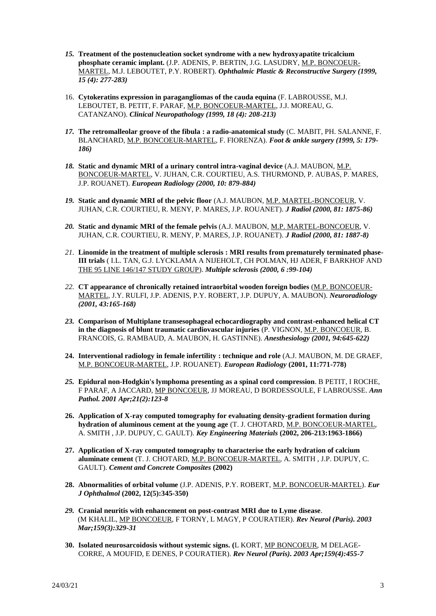- *15.* **Treatment of the postenucleation socket syndrome with a new hydroxyapatite tricalcium phosphate ceramic implant.** (J.P. ADENIS, P. BERTIN, J.G. LASUDRY, M.P. BONCOEUR-MARTEL, M.J. LEBOUTET, P.Y. ROBERT). *Ophthalmic Plastic & Reconstructive Surgery (1999, 15 (4): 277-283)*
- 16. **Cytokeratins expression in paragangliomas of the cauda equina** (F. LABROUSSE, M.J. LEBOUTET, B. PETIT, F. PARAF, M.P. BONCOEUR-MARTEL, J.J. MOREAU, G. CATANZANO). *Clinical Neuropathology (1999, 18 (4): 208-213)*
- *17.* **The retromalleolar groove of the fibula : a radio-anatomical study** (C. MABIT, PH. SALANNE, F. BLANCHARD, M.P. BONCOEUR-MARTEL, F. FIORENZA). *Foot & ankle surgery (1999, 5: 179- 186)*
- *18.* **Static and dynamic MRI of a urinary control intra-vaginal device** (A.J. MAUBON, M.P. BONCOEUR-MARTEL, V. JUHAN, C.R. COURTIEU, A.S. THURMOND, P. AUBAS, P. MARES, J.P. ROUANET). *European Radiology (2000, 10: 879-884)*
- *19.* **Static and dynamic MRI of the pelvic floor** (A.J. MAUBON, M.P. MARTEL-BONCOEUR, V. JUHAN, C.R. COURTIEU, R. MENY, P. MARES, J.P. ROUANET). *J Radiol (2000, 81: 1875-86)*
- *20.* **Static and dynamic MRI of the female pelvis** (A.J. MAUBON, M.P. MARTEL-BONCOEUR, V. JUHAN, C.R. COURTIEU, R. MENY, P. MARES, J.P. ROUANET). *J Radiol (2000, 81: 1887-8)*
- *21.* **Linomide in the treatment of multiple sclerosis : MRI results from prematurely terminated phase-III trials** ( I.L. TAN, G.J. LYCKLAMA A NIJEHOLT, CH POLMAN, HJ ADER, F BARKHOF AND THE 95 LINE 146/147 STUDY GROUP). *Multiple sclerosis (2000, 6 :99-104)*
- *22.* **CT appearance of chronically retained intraorbital wooden foreign bodies** (M.P. BONCOEUR-MARTEL, J.Y. RULFI, J.P. ADENIS, P.Y. ROBERT, J.P. DUPUY, A. MAUBON). *Neuroradiology (2001, 43:165-168)*
- *23.* **Comparison of Multiplane transesophageal echocardiography and contrast-enhanced helical CT in the diagnosis of blunt traumatic cardiovascular injuries** (P. VIGNON, M.P. BONCOEUR, B. FRANCOIS, G. RAMBAUD, A. MAUBON, H. GASTINNE). *Anesthesiology (2001, 94:645-622)*
- **24. Interventional radiology in female infertility : technique and role** (A.J. MAUBON, M. DE GRAEF, M.P. BONCOEUR-MARTEL, J.P. ROUANET). *European Radiology* **(2001, 11:771-778)**
- *25.* **Epidural non-Hodgkin's lymphoma presenting as a spinal cord compression**. B PETIT, I ROCHE, F PARAF, A JACCARD, MP BONCOEUR, JJ MOREAU, D BORDESSOULE, F LABROUSSE. *Ann Pathol. 2001 Apr;21(2):123-8*
- **26. Application of X-ray computed tomography for evaluating density-gradient formation during hydration of aluminous cement at the young age** (T. J. CHOTARD, M.P. BONCOEUR-MARTEL, A. SMITH , J.P. DUPUY, C. GAULT). *Key Engineering Materials* **(2002, 206-213:1963-1866)**
- **27. Application of X-ray computed tomography to characterise the early hydration of calcium aluminate cement** (T. J. CHOTARD, M.P. BONCOEUR-MARTEL, A. SMITH , J.P. DUPUY, C. GAULT). *Cement and Concrete Composites* **(2002)**
- **28. Abnormalities of orbital volume** (J.P. ADENIS, P.Y. ROBERT, M.P. BONCOEUR-MARTEL). *Eur J Ophthalmol* **(2002, 12(5):345-350)**
- *29.* **Cranial neuritis with enhancement on post-contrast MRI due to Lyme disease**. (M KHALIL, MP BONCOEUR, F TORNY, L MAGY, P COURATIER). *Rev Neurol (Paris). 2003 Mar;159(3):329-31*
- **30. Isolated neurosarcoidosis without systemic signs. (**L KORT, MP BONCOEUR, M DELAGE-CORRE, A MOUFID, E DENES, P COURATIER). *Rev Neurol (Paris). 2003 Apr;159(4):455-7*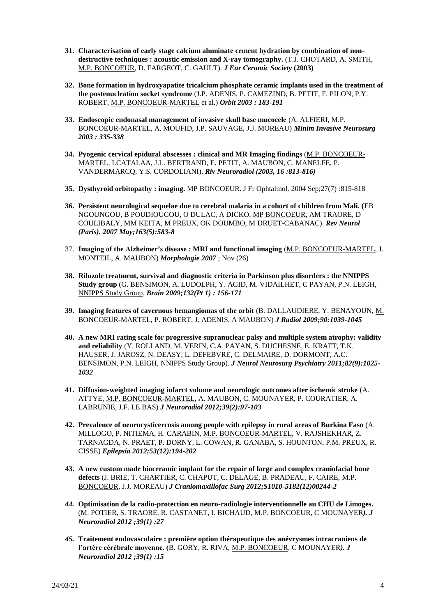- **31. Characterisation of early stage calcium aluminate cement hydration by combination of nondestructive techniques : acoustic emission and X-ray tomography.** (T.J. CHOTARD, A. SMITH, M.P. BONCOEUR, D. FARGEOT, C. GAULT). *J Eur Ceramic Society* **(2003)**
- **32. Bone formation in hydroxyapatite tricalcium phosphate ceramic implants used in the treatment of the postenucleation socket syndrome** (J.P. ADENIS, P. CAMEZIND, B. PETIT, F. PILON, P.Y. ROBERT, M.P. BONCOEUR-MARTEL et al.) *Orbit 2003 : 183-191*
- **33. Endoscopic endonasal management of invasive skull base mucocele** (A. ALFIERI, M.P. BONCOEUR-MARTEL, A. MOUFID, J.P. SAUVAGE, J.J. MOREAU) *Minim Invasive Neurosurg 2003 : 335-338*
- **34. Pyogenic cervical epidural abscesses : clinical and MR Imaging findings** (M.P. BONCOEUR-MARTEL, I.CATALAA, J.L. BERTRAND, E. PETIT, A. MAUBON, C. MANELFE, P. VANDERMARCQ, Y.S. CORDOLIANI). *Riv Neuroradiol (2003, 16 :813-816)*
- **35. Dysthyroid orbitopathy : imaging.** MP BONCOEUR. J Fr Ophtalmol. 2004 Sep;27(7) :815-818
- **36. Persistent neurological sequelae due to cerebral malaria in a cohort of children from Mali. (**EB NGOUNGOU, B POUDIOUGOU, O DULAC, A DICKO, MP BONCOEUR, AM TRAORE, D COULIBALY, MM KEITA, M PREUX, OK DOUMBO, M DRUET-CABANAC). *Rev Neurol (Paris). 2007 May;163(5):583-8*
- 37. **Imaging of the Alzheimer's disease : MRI and functional imaging** (M.P. BONCOEUR-MARTEL, J. MONTEIL, A. MAUBON) *Morphologie 2007* ; Nov (26)
- **38. Riluzole treatment, survival and diagnostic criteria in Parkinson plus disorders : the NNIPPS Study group** (G. BENSIMON, A. LUDOLPH, Y. AGID, M. VIDAILHET, C PAYAN, P.N. LEIGH, NNIPPS Study Group. *Brain 2009;132(Pt 1) : 156-171*
- **39. Imaging features of cavernous hemangiomas of the orbit** (B. DALLAUDIERE, Y. BENAYOUN, M. BONCOEUR-MARTEL, P. ROBERT, J. ADENIS, A MAUBON) *J Radiol 2009;90:1039-1045*
- **40. A new MRI rating scale for progressive supranuclear palsy and multiple system atrophy: validity and reliability** (Y. ROLLAND, M. VERIN, C.A. PAYAN, S. DUCHESNE, E. KRAFT, T.K. HAUSER, J. JAROSZ, N. DEASY, L. DEFEBVRE, C. DELMAIRE, D. DORMONT, A.C. BENSIMON, P.N. LEIGH, NNIPPS Study Group). *J Neurol Neurosurg Psychiatry 2011;82(9):1025- 1032*
- **41. Diffusion-weighted imaging infarct volume and neurologic outcomes after ischemic stroke** (A. ATTYE, M.P. BONCOEUR-MARTEL, A. MAUBON, C. MOUNAYER, P. COURATIER, A. LABRUNIE, J.F. LE BAS) *J Neuroradiol 2012;39(2):97-103*
- **42. Prevalence of neurocysticercosis among people with epilepsy in rural areas of Burkina Faso** (A. MILLOGO, P. NITIEMA, H. CARABIN, M.P. BONCOEUR-MARTEL, V. RAJSHEKHAR, Z. TARNAGDA, N. PRAET, P. DORNY, L. COWAN, R. GANABA, S. HOUNTON, P.M. PREUX, R. CISSE) *Epilepsia 2012;53(12):194-202*
- **43. A new custom made bioceramic implant for the repair of large and complex craniofacial bone defects** (J. BRIE, T. CHARTIER, C. CHAPUT, C. DELAGE, B. PRADEAU, F. CAIRE, M.P. BONCOEUR, J.J. MOREAU) *J Craniomaxillofac Surg 2012;S1010-5182(12)00244-2*
- *44.* **Optimisation de la radio-protection en neuro-radiologie interventionnelle au CHU de Limoges.**  (M. POTIER, S. TRAORE, R. CASTANET, I. BICHAUD, M.P. BONCOEUR, C MOUNAYER*). J Neuroradiol 2012 ;39(1) :27*
- *45.* **Traitement endovasculaire : première option thérapeutique des anévrysmes intracraniens de l'artère cérébrale moyenne. (**B. GORY, R. RIVA, M.P. BONCOEUR, C MOUNAYER*). J Neuroradiol 2012 ;39(1) :15*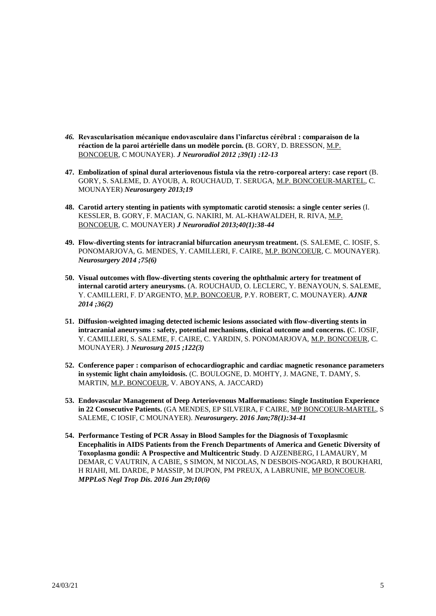- *46.* **Revascularisation mécanique endovasculaire dans l'infarctus cérébral : comparaison de la réaction de la paroi artérielle dans un modèle porcin. (**B. GORY, D. BRESSON, M.P. BONCOEUR, C MOUNAYER). *J Neuroradiol 2012 ;39(1) :12-13*
- **47. Embolization of spinal dural arteriovenous fistula via the retro-corporeal artery: case report** (B. GORY, S. SALEME, D. AYOUB, A. ROUCHAUD, T. SERUGA, M.P. BONCOEUR-MARTEL, C. MOUNAYER) *Neurosurgery 2013;19*
- **48. Carotid artery stenting in patients with symptomatic carotid stenosis: a single center series** (I. KESSLER, B. GORY, F. MACIAN, G. NAKIRI, M. AL-KHAWALDEH, R. RIVA, M.P. BONCOEUR, C. MOUNAYER) *J Neuroradiol 2013;40(1):38-44*
- **49. Flow-diverting stents for intracranial bifurcation aneurysm treatment.** (S. SALEME, C. IOSIF, S. PONOMARJOVA, G. MENDES, Y. CAMILLERI, F. CAIRE, M.P. BONCOEUR, C. MOUNAYER). *Neurosurgery 2014 ;75(6)*
- **50. Visual outcomes with flow-diverting stents covering the ophthalmic artery for treatment of internal carotid artery aneurysms.** (A. ROUCHAUD, O. LECLERC, Y. BENAYOUN, S. SALEME, Y. CAMILLERI, F. D'ARGENTO, M.P. BONCOEUR, P.Y. ROBERT, C. MOUNAYER). *AJNR 2014 ;36(2)*
- **51. Diffusion-weighted imaging detected ischemic lesions associated with flow-diverting stents in intracranial aneurysms : safety, potential mechanisms, clinical outcome and concerns. (**C. IOSIF, Y. CAMILLERI, S. SALEME, F. CAIRE, C. YARDIN, S. PONOMARJOVA, M.P. BONCOEUR, C. MOUNAYER). J *Neurosurg 2015 ;122(3)*
- **52. Conference paper : comparison of echocardiographic and cardiac magnetic resonance parameters in systemic light chain amyloidosis.** (C. BOULOGNE, D. MOHTY, J. MAGNE, T. DAMY, S. MARTIN, M.P. BONCOEUR, V. ABOYANS, A. JACCARD)
- **53. Endovascular Management of Deep Arteriovenous Malformations: Single Institution Experience in 22 Consecutive Patients.** (GA MENDES, EP SILVEIRA, F CAIRE, MP BONCOEUR-MARTEL, S SALEME, C IOSIF, C MOUNAYER). *Neurosurgery. 2016 Jan;78(1):34-41*
- **54. Performance Testing of PCR Assay in Blood Samples for the Diagnosis of Toxoplasmic Encephalitis in AIDS Patients from the French Departments of America and Genetic Diversity of Toxoplasma gondii: A Prospective and Multicentric Study**. D AJZENBERG, I LAMAURY, M DEMAR, C VAUTRIN, A CABIE, S SIMON, M NICOLAS, N DESBOIS-NOGARD, R BOUKHARI, H RIAHI, ML DARDE, P MASSIP, M DUPON, PM PREUX, A LABRUNIE, MP BONCOEUR. *MPPLoS Negl Trop Dis. 2016 Jun 29;10(6)*